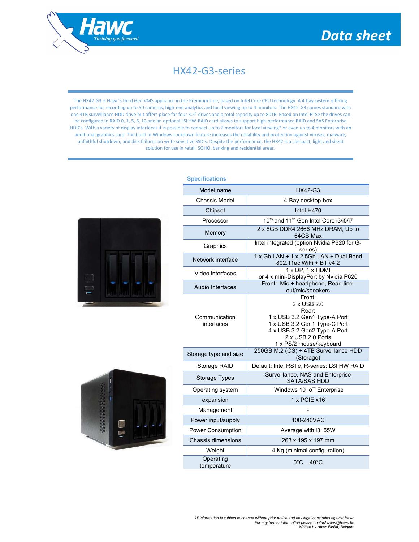

## HX42-G3-series

The HX42-G3 is Hawc's third Gen VMS appliance in the Premium Line, based on Intel Core CPU technology. A 4-bay system offering performance for recording up to 50 cameras, high-end analytics and local viewing up to 4 monitors. The HX42-G3 comes standard with one 4TB surveillance HDD drive but offers place for four 3.5" drives and a total capacity up to 80TB. Based on Intel RTSe the drives can be configured in RAID 0, 1, 5, 6, 10 and an optional LSI HW-RAID card allows to support high-performance RAID and SAS Enterprise HDD's. With a variety of display interfaces it is possible to connect up to 2 monitors for local viewing\* or even up to 4 monitors with an additional graphics card. The build in Windows Lockdown feature increases the reliability and protection against viruses, malware, unfaithful shutdown, and disk failures on write sensitive SSD's. Despite the performance, the HX42 is a compact, light and silent solution for use in retail, SOHO, banking and residential areas.





| <b>Specifications</b>       |                                                                                                                                                                                |
|-----------------------------|--------------------------------------------------------------------------------------------------------------------------------------------------------------------------------|
| Model name                  | HX42-G3                                                                                                                                                                        |
| Chassis Model               | 4-Bay desktop-box                                                                                                                                                              |
| Chipset                     | Intel H470                                                                                                                                                                     |
| Processor                   | 10 <sup>th</sup> and 11 <sup>th</sup> Gen Intel Core i3/i5/i7                                                                                                                  |
| Memory                      | 2 x 8GB DDR4 2666 MHz DRAM, Up to<br>64GB Max                                                                                                                                  |
| Graphics                    | Intel integrated (option Nvidia P620 for G-<br>series)                                                                                                                         |
| Network interface           | 1 x Gb LAN + 1 x 2.5Gb LAN + Dual Band<br>802.11ac WiFi + BT v4.2                                                                                                              |
| Video interfaces            | 1 x DP, 1 x HDMI<br>or 4 x mini-DisplayPort by Nvidia P620                                                                                                                     |
| Audio Interfaces            | Front: Mic + headphone, Rear: line-<br>out/mic/speakers                                                                                                                        |
| Communication<br>interfaces | Front:<br>2 x USB 2.0<br>Rear:<br>1 x USB 3.2 Gen1 Type-A Port<br>1 x USB 3.2 Gen1 Type-C Port<br>4 x USB 3.2 Gen2 Type-A Port<br>2 x USB 2.0 Ports<br>1 x PS/2 mouse/keyboard |
| Storage type and size       | 250GB M.2 (OS) + 4TB Surveillance HDD<br>(Storage)                                                                                                                             |
| Storage RAID                | Default: Intel RSTe, R-series: LSI HW RAID                                                                                                                                     |
| <b>Storage Types</b>        | Surveillance, NAS and Enterprise<br><b>SATA/SAS HDD</b>                                                                                                                        |
| Operating system            | Windows 10 IoT Enterprise                                                                                                                                                      |
| expansion                   | $1x$ PCIE $x16$                                                                                                                                                                |
| Management                  |                                                                                                                                                                                |
| Power input/supply          | 100-240VAC                                                                                                                                                                     |
| <b>Power Consumption</b>    | Average with i3: 55W                                                                                                                                                           |
| Chassis dimensions          | 263 x 195 x 197 mm                                                                                                                                                             |
| Weight                      | 4 Kg (minimal configuration)                                                                                                                                                   |
| Operating<br>temperature    | $0^{\circ}$ C – 40 $^{\circ}$ C                                                                                                                                                |